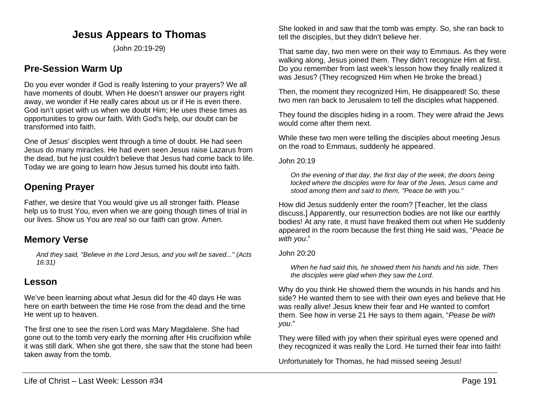# **Jesus Appears to Thomas**

(John 20:19-29)

# **Pre-Session Warm Up**

Do you ever wonder if God is really listening to your prayers? We all have moments of doubt. When He doesn't answer our prayers right away, we wonder if He really cares about us or if He is even there. God isn't upset with us when we doubt Him; He uses these times as opportunities to grow our faith. With God's help, our doubt can be transformed into faith.

One of Jesus' disciples went through a time of doubt. He had seen Jesus do many miracles. He had even seen Jesus raise Lazarus from the dead, but he just couldn't believe that Jesus had come back to life. Today we are going to learn how Jesus turned his doubt into faith.

# **Opening Prayer**

Father, we desire that You would give us all stronger faith. Please help us to trust You, even when we are going though times of trial in our lives. Show us You are real so our faith can grow. Amen.

## **Memory Verse**

*And they said, "Believe in the Lord Jesus, and you will be saved..." (Acts 16:31)*

## **Lesson**

We've been learning about what Jesus did for the 40 days He was here on earth between the time He rose from the dead and the time He went up to heaven.

The first one to see the risen Lord was Mary Magdalene. She had gone out to the tomb very early the morning after His crucifixion while it was still dark. When she got there, she saw that the stone had been taken away from the tomb.

She looked in and saw that the tomb was empty. So, she ran back to tell the disciples, but they didn't believe her.

That same day, two men were on their way to Emmaus. As they were walking along, Jesus joined them. They didn't recognize Him at first. Do you remember from last week's lesson how they finally realized it was Jesus? (They recognized Him when He broke the bread.)

Then, the moment they recognized Him, He disappeared! So, these two men ran back to Jerusalem to tell the disciples what happened.

They found the disciples hiding in a room. They were afraid the Jews would come after them next.

While these two men were telling the disciples about meeting Jesus on the road to Emmaus, suddenly he appeared.

John 20:19

*On the evening of that day, the first day of the week, the doors being locked where the disciples were for fear of the Jews, Jesus came and stood among them and said to them, "Peace be with you."*

How did Jesus suddenly enter the room? [Teacher, let the class discuss.] Apparently, our resurrection bodies are not like our earthly bodies! At any rate, it must have freaked them out when He suddenly appeared in the room because the first thing He said was, "*Peace be with you*."

#### John 20:20

*When he had said this, he showed them his hands and his side. Then the disciples were glad when they saw the Lord.*

Why do you think He showed them the wounds in his hands and his side? He wanted them to see with their own eyes and believe that He was really alive! Jesus knew their fear and He wanted to comfort them. See how in verse 21 He says to them again, "*Pease be with you*."

They were filled with joy when their spiritual eyes were opened and they recognized it was really the Lord. He turned their fear into faith!

Unfortunately for Thomas, he had missed seeing Jesus!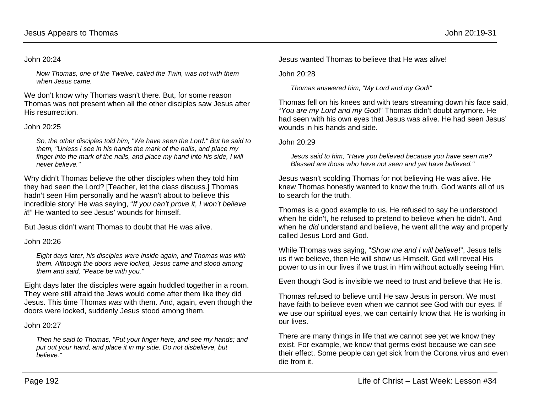#### John 20:24

*Now Thomas, one of the Twelve, called the Twin, was not with them when Jesus came.*

We don't know why Thomas wasn't there. But, for some reason Thomas was not present when all the other disciples saw Jesus after His resurrection.

#### John 20:25

*So, the other disciples told him, "We have seen the Lord." But he said to them, "Unless I see in his hands the mark of the nails, and place my finger into the mark of the nails, and place my hand into his side, I will never believe."*

Why didn't Thomas believe the other disciples when they told him they had seen the Lord? [Teacher, let the class discuss.] Thomas hadn't seen Him personally and he wasn't about to believe this incredible story! He was saying, "*If you can't prove it, I won't believe it*!" He wanted to see Jesus' wounds for himself.

But Jesus didn't want Thomas to doubt that He was alive.

### John 20:26

*Eight days later, his disciples were inside again, and Thomas was with them. Although the doors were locked, Jesus came and stood among them and said, "Peace be with you."*

Eight days later the disciples were again huddled together in a room. They were still afraid the Jews would come after them like they did Jesus. This time Thomas *was* with them. And, again, even though the doors were locked, suddenly Jesus stood among them.

John 20:27

*Then he said to Thomas, "Put your finger here, and see my hands; and put out your hand, and place it in my side. Do not disbelieve, but believe."*

Jesus wanted Thomas to believe that He was alive!

John 20:28

*Thomas answered him, "My Lord and my God!"*

Thomas fell on his knees and with tears streaming down his face said, "*You are my Lord and my God*!" Thomas didn't doubt anymore. He had seen with his own eyes that Jesus was alive. He had seen Jesus' wounds in his hands and side.

#### John 20:29

*Jesus said to him, "Have you believed because you have seen me? Blessed are those who have not seen and yet have believed."*

Jesus wasn't scolding Thomas for not believing He was alive. He knew Thomas honestly wanted to know the truth. God wants all of us to search for the truth.

Thomas is a good example to us. He refused to say he understood when he didn't, he refused to pretend to believe when he didn't. And when he *did* understand and believe, he went all the way and properly called Jesus Lord and God.

While Thomas was saying, "*Show me and I will believe*!", Jesus tells us if we believe, then He will show us Himself. God will reveal His power to us in our lives if we trust in Him without actually seeing Him.

Even though God is invisible we need to trust and believe that He is.

Thomas refused to believe until He saw Jesus in person. We must have faith to believe even when we cannot see God with our eyes. If we use our spiritual eyes, we can certainly know that He is working in our lives.

There are many things in life that we cannot see yet we know they exist. For example, we know that germs exist because we can see their effect. Some people can get sick from the Corona virus and even die from it.